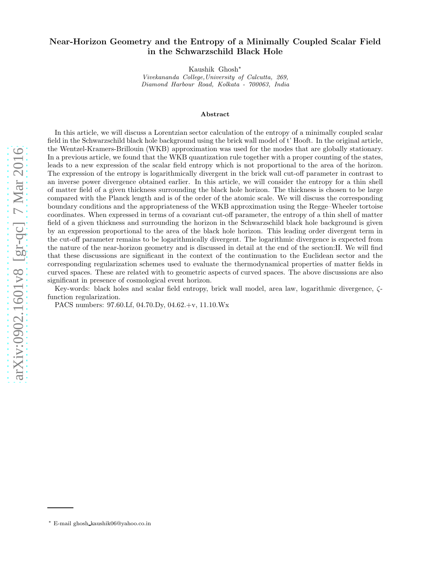# Near-Horizon Geometry and the Entropy of a Minimally Coupled Scalar Field in the Schwarzschild Black Hole

Kaushik Ghosh ∗

Vivekananda College,University of Calcutta, 269, Diamond Harbour Road, Kolkata - 700063, India

## Abstract

In this article, we will discuss a Lorentzian sector calculation of the entropy of a minimally coupled scalar field in the Schwarzschild black hole background using the brick wall model of t' Hooft. In the original article, the Wentzel-Kramers-Brillouin (WKB) approximation was used for the modes that are globally stationary. In a previous article, we found that the WKB quantization rule together with a proper counting of the states, leads to a new expression of the scalar field entropy which is not proportional to the area of the horizon. The expression of the entropy is logarithmically divergent in the brick wall cut-off parameter in contrast to an inverse power divergence obtained earlier. In this article, we will consider the entropy for a thin shell of matter field of a given thickness surrounding the black hole horizon. The thickness is chosen to be large compared with the Planck length and is of the order of the atomic scale. We will discuss the corresponding boundary conditions and the appropriateness of the WKB approximation using the Regge–Wheeler tortoise coordinates. When expressed in terms of a covariant cut-off parameter, the entropy of a thin shell of matter field of a given thickness and surrounding the horizon in the Schwarzschild black hole background is given by an expression proportional to the area of the black hole horizon. This leading order divergent term in the cut-off parameter remains to be logarithmically divergent. The logarithmic divergence is expected from the nature of the near-horizon geometry and is discussed in detail at the end of the section:II. We will find that these discussions are significant in the context of the continuation to the Euclidean sector and the corresponding regularization schemes used to evaluate the thermodynamical properties of matter fields in curved spaces. These are related with to geometric aspects of curved spaces. The above discussions are also significant in presence of cosmological event horizon.

Key-words: black holes and scalar field entropy, brick wall model, area law, logarithmic divergence, ζ function regularization.

PACS numbers: 97.60.Lf, 04.70.Dy, 04.62.+v, 11.10.Wx

<sup>∗</sup> E-mail ghosh kaushik06@yahoo.co.in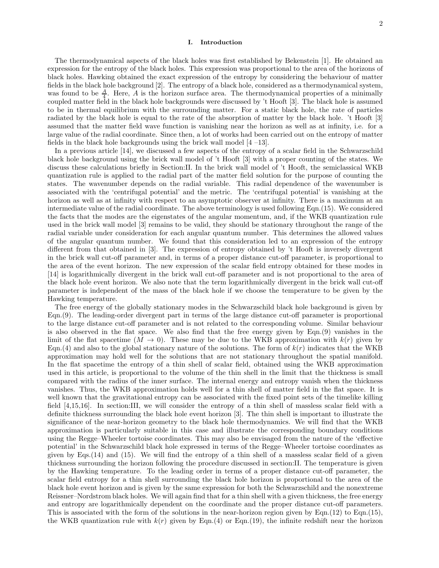### I. Introduction

The thermodynamical aspects of the black holes was first established by Bekenstein [1]. He obtained an expression for the entropy of the black holes. This expression was proportional to the area of the horizons of black holes. Hawking obtained the exact expression of the entropy by considering the behaviour of matter fields in the black hole background [2]. The entropy of a black hole, considered as a thermodynamical system, was found to be  $\frac{A}{4}$ . Here, A is the horizon surface area. The thermodynamical properties of a minimally coupled matter field in the black hole backgrounds were discussed by 't Hooft [3]. The black hole is assumed to be in thermal equilibrium with the surrounding matter. For a static black hole, the rate of particles radiated by the black hole is equal to the rate of the absorption of matter by the black hole. 't Hooft [3] assumed that the matter field wave function is vanishing near the horizon as well as at infinity, i.e. for a large value of the radial coordinate. Since then, a lot of works had been carried out on the entropy of matter fields in the black hole backgrounds using the brick wall model  $[4 -13]$ .

In a previous article [14], we discussed a few aspects of the entropy of a scalar field in the Schwarzschild black hole background using the brick wall model of 't Hooft [3] with a proper counting of the states. We discuss these calculations briefly in Section:II. In the brick wall model of 't Hooft, the semiclassical WKB quantization rule is applied to the radial part of the matter field solution for the purpose of counting the states. The wavenumber depends on the radial variable. This radial dependence of the wavenumber is associated with the 'centrifugal potential' and the metric. The 'centrifugal potential' is vanishing at the horizon as well as at infinity with respect to an asymptotic observer at infinity. There is a maximum at an intermediate value of the radial coordinate. The above terminology is used following Eqn.(15). We considered the facts that the modes are the eigenstates of the angular momentum, and, if the WKB quantization rule used in the brick wall model [3] remains to be valid, they should be stationary throughout the range of the radial variable under consideration for each angular quantum number. This determines the allowed values of the angular quantum number. We found that this consideration led to an expression of the entropy different from that obtained in [3]. The expression of entropy obtained by 't Hooft is inversely divergent in the brick wall cut-off parameter and, in terms of a proper distance cut-off parameter, is proportional to the area of the event horizon. The new expression of the scalar field entropy obtained for these modes in [14] is logarithmically divergent in the brick wall cut-off parameter and is not proportional to the area of the black hole event horizon. We also note that the term logarithmically divergent in the brick wall cut-off parameter is independent of the mass of the black hole if we choose the temperature to be given by the Hawking temperature.

The free energy of the globally stationary modes in the Schwarzschild black hole background is given by Eqn.(9). The leading-order divergent part in terms of the large distance cut-off parameter is proportional to the large distance cut-off parameter and is not related to the corresponding volume. Similar behaviour is also observed in the flat space. We also find that the free energy given by Eqn.(9) vanishes in the limit of the flat spacetime  $(M \to 0)$ . These may be due to the WKB approximation with  $k(r)$  given by Eqn.(4) and also to the global stationary nature of the solutions. The form of  $k(r)$  indicates that the WKB approximation may hold well for the solutions that are not stationary throughout the spatial manifold. In the flat spacetime the entropy of a thin shell of scalar field, obtained using the WKB approximation used in this article, is proportional to the volume of the thin shell in the limit that the thickness is small compared with the radius of the inner surface. The internal energy and entropy vanish when the thickness vanishes. Thus, the WKB approximation holds well for a thin shell of matter field in the flat space. It is well known that the gravitational entropy can be associated with the fixed point sets of the timelike killing field [4,15,16]. In section:III, we will consider the entropy of a thin shell of massless scalar field with a definite thickness surrounding the black hole event horizon [3]. The thin shell is important to illustrate the significance of the near-horizon geometry to the black hole thermodynamics. We will find that the WKB approximation is particularly suitable in this case and illustrate the corresponding boundary conditions using the Regge–Wheeler tortoise coordinates. This may also be envisaged from the nature of the 'effective potential' in the Schwarzschild black hole expressed in terms of the Regge–Wheeler tortoise coordinates as given by Eqs.(14) and (15). We will find the entropy of a thin shell of a massless scalar field of a given thickness surrounding the horizon following the procedure discussed in section:II. The temperature is given by the Hawking temperature. To the leading order in terms of a proper distance cut-off parameter, the scalar field entropy for a thin shell surrounding the black hole horizon is proportional to the area of the black hole event horizon and is given by the same expression for both the Schwarzschild and the nonextreme Reissner–Nordstrom black holes. We will again find that for a thin shell with a given thickness, the free energy and entropy are logarithmically dependent on the coordinate and the proper distance cut-off parameters. This is associated with the form of the solutions in the near-horizon region given by Eqn.(12) to Eqn.(15), the WKB quantization rule with  $k(r)$  given by Eqn.(4) or Eqn.(19), the infinite redshift near the horizon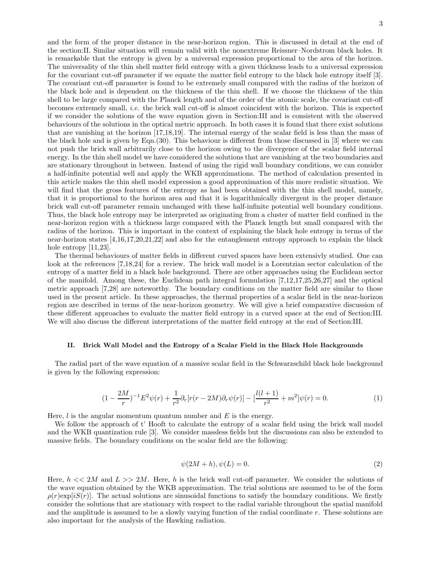and the form of the proper distance in the near-horizon region. This is discussed in detail at the end of the section:II. Similar situation will remain valid with the nonextreme Reissner–Nordstrom black holes. It is remarkable that the entropy is given by a universal expression proportional to the area of the horizon. The universality of the thin shell matter field entropy with a given thickness leads to a universal expression for the covariant cut-off parameter if we equate the matter field entropy to the black hole entropy itself [3]. The covariant cut-off parameter is found to be extremely small compared with the radius of the horizon of the black hole and is dependent on the thickness of the thin shell. If we choose the thickness of the thin shell to be large compared with the Planck length and of the order of the atomic scale, the covariant cut-off becomes extremely small, i.e. the brick wall cut-off is almost coincident with the horizon. This is expected if we consider the solutions of the wave equation given in Section:III and is consistent with the observed behaviours of the solutions in the optical metric approach. In both cases it is found that there exist solutions that are vanishing at the horizon [17,18,19]. The internal energy of the scalar field is less than the mass of the black hole and is given by Eqn.(30). This behaviour is different from those discussed in [3] where we can not push the brick wall arbitrarily close to the horizon owing to the divergence of the scalar field internal energy. In the thin shell model we have considered the solutions that are vanishing at the two boundaries and are stationary throughout in between. Instead of using the rigid wall boundary conditions, we can consider a half-infinite potential well and apply the WKB approximations. The method of calculation presented in this article makes the thin shell model expression a good approximation of this more realistic situation. We will find that the gross features of the entropy as had been obtained with the thin shell model, namely, that it is proportional to the horizon area and that it is logarithmically divergent in the proper distance brick wall cut-off parameter remain unchanged with these half-infinite potential well boundary conditions. Thus, the black hole entropy may be interpreted as originating from a cluster of matter field confined in the near-horizon region with a thickness large compared with the Planck length but small compared with the radius of the horizon. This is important in the context of explaining the black hole entropy in terms of the near-horizon states [4,16,17,20,21,22] and also for the entanglement entropy approach to explain the black hole entropy [11,23].

The thermal behaviours of matter fields in different curved spaces have been extensivly studied. One can look at the references [7,18,24] for a review. The brick wall model is a Lorentzian sector calculation of the entropy of a matter field in a black hole background. There are other approaches using the Euclidean sector of the manifold. Among these, the Euclidean path integral formulation [7,12,17,25,26,27] and the optical metric approach [7,28] are noteworthy. The boundary conditions on the matter field are similar to those used in the present article. In these approaches, the thermal properties of a scalar field in the near-horizon region are described in terms of the near-horizon geometry. We will give a brief comparative discussion of these different approaches to evaluate the matter field entropy in a curved space at the end of Section:III. We will also discuss the different interpretations of the matter field entropy at the end of Section:III.

### II. Brick Wall Model and the Entropy of a Scalar Field in the Black Hole Backgrounds

The radial part of the wave equation of a massive scalar field in the Schwarzschild black hole background is given by the following expression:

$$
(1 - \frac{2M}{r})^{-1} E^2 \psi(r) + \frac{1}{r^2} \partial_r [r(r - 2M) \partial_r \psi(r)] - \left[ \frac{l(l+1)}{r^2} + m^2 \right] \psi(r) = 0.
$$
 (1)

Here,  $l$  is the angular momentum quantum number and  $E$  is the energy.

We follow the approach of t' Hooft to calculate the entropy of a scalar field using the brick wall model and the WKB quantization rule [3]. We consider massless fields but the discussions can also be extended to massive fields. The boundary conditions on the scalar field are the following:

$$
\psi(2M+h), \psi(L) = 0. \tag{2}
$$

Here,  $h \ll 2M$  and  $L >> 2M$ . Here, h is the brick wall cut-off parameter. We consider the solutions of the wave equation obtained by the WKB approximation. The trial solutions are assumed to be of the form  $\rho(r) \exp[iS(r)]$ . The actual solutions are sinusoidal functions to satisfy the boundary conditions. We firstly consider the solutions that are stationary with respect to the radial variable throughout the spatial manifold and the amplitude is assumed to be a slowly varying function of the radial coordinate r. These solutions are also important for the analysis of the Hawking radiation.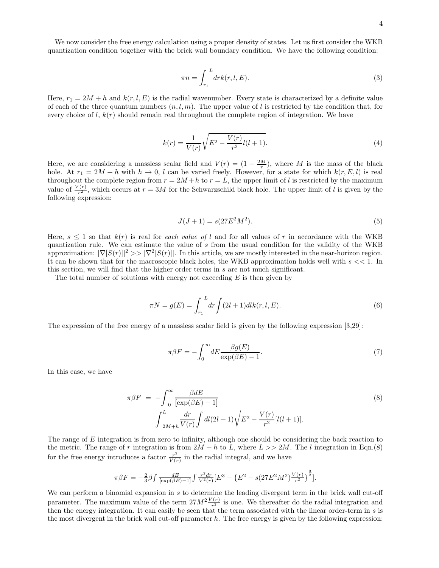We now consider the free energy calculation using a proper density of states. Let us first consider the WKB quantization condition together with the brick wall boundary condition. We have the following condition:

$$
\pi n = \int_{r_1}^{L} dr k(r, l, E). \tag{3}
$$

Here,  $r_1 = 2M + h$  and  $k(r, l, E)$  is the radial wavenumber. Every state is characterized by a definite value of each of the three quantum numbers  $(n, l, m)$ . The upper value of l is restricted by the condition that, for every choice of  $l, k(r)$  should remain real throughout the complete region of integration. We have

$$
k(r) = \frac{1}{V(r)} \sqrt{E^2 - \frac{V(r)}{r^2} l(l+1)}.
$$
\n(4)

Here, we are considering a massless scalar field and  $V(r) = (1 - \frac{2M}{r})$ , where M is the mass of the black hole. At  $r_1 = 2M + h$  with  $h \to 0$ , l can be varied freely. However, for a state for which  $k(r, E, l)$  is real throughout the complete region from  $r = 2M + h$  to  $r = L$ , the upper limit of l is restricted by the maximum value of  $\frac{V(r)}{r^2}$ , which occurs at  $r = 3M$  for the Schwarzschild black hole. The upper limit of l is given by the following expression:

$$
J(J+1) = s(27E^2M^2). \tag{5}
$$

Here,  $s \leq 1$  so that  $k(r)$  is real for each value of l and for all values of r in accordance with the WKB quantization rule. We can estimate the value of s from the usual condition for the validity of the WKB approximation:  $|\nabla [S(r)]|^2 >> |\nabla^2 [S(r)]|$ . In this article, we are mostly interested in the near-horizon region. It can be shown that for the macroscopic black holes, the WKB approximation holds well with  $s \ll 1$ . In this section, we will find that the higher order terms in s are not much significant.

The total number of solutions with energy not exceeding  $E$  is then given by

$$
\pi N = g(E) = \int_{r_1}^{L} dr \int (2l+1) dl k(r, l, E).
$$
\n(6)

The expression of the free energy of a massless scalar field is given by the following expression [3,29]:

$$
\pi \beta F = -\int_0^\infty dE \frac{\beta g(E)}{\exp(\beta E) - 1}.
$$
\n(7)

In this case, we have

$$
\pi \beta F = -\int_0^\infty \frac{\beta dE}{\left[\exp(\beta E) - 1\right]}
$$
\n
$$
\int_{2M+h}^L \frac{dr}{V(r)} \int dl (2l+1) \sqrt{E^2 - \frac{V(r)}{r^2} [l(l+1)]}. \tag{8}
$$

The range of E integration is from zero to infinity, although one should be considering the back reaction to the metric. The range of r integration is from  $2M + h$  to L, where  $L >> 2M$ . The l integration in Eqn.(8) for the free energy introduces a factor  $\frac{r^2}{V(r)}$  $\frac{r^2}{V(r)}$  in the radial integral, and we have

$$
\pi\beta F = -\frac{2}{3}\beta \int \frac{dE}{[\exp(\beta E)-1]} \int \frac{r^2 dr}{V^2(r)} [E^3 - \{E^2 - s(27E^2M^2)\frac{V(r)}{r^2}\}^{\frac{3}{2}}].
$$

We can perform a binomial expansion in s to determine the leading divergent term in the brick wall cut-off parameter. The maximum value of the term  $27M^2 \frac{V(r)}{r^2}$  is one. We thereafter do the radial integration and then the energy integration. It can easily be seen that the term associated with the linear order-term in s is the most divergent in the brick wall cut-off parameter  $h$ . The free energy is given by the following expression: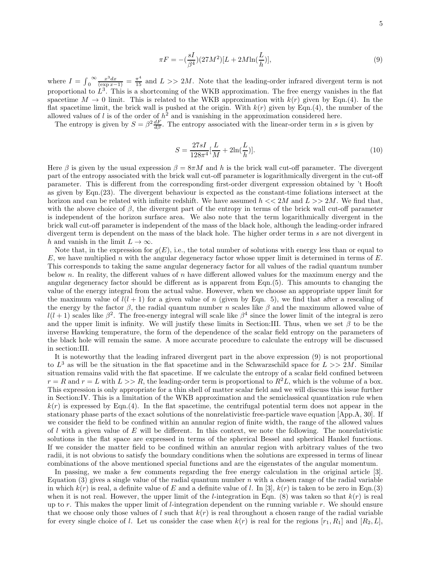$$
\pi F = -\left(\frac{sI}{\beta^4}\right)(27M^2)[L + 2M\ln(\frac{L}{h})],\tag{9}
$$

where  $I = \int_0^\infty \frac{x^3 dx}{(\exp x - 1)} = \frac{\pi^4}{15}$  and  $L >> 2M$ . Note that the leading-order infrared divergent term is not proportional to  $L^3$ . This is a shortcoming of the WKB approximation. The free energy vanishes in the flat spacetime  $M \to 0$  limit. This is related to the WKB approximation with  $k(r)$  given by Eqn.(4). In the flat spacetime limit, the brick wall is pushed at the origin. With  $k(r)$  given by Eqn.(4), the number of the allowed values of  $l$  is of the order of  $h^2$  and is vanishing in the approximation considered here.

The entropy is given by  $S = \beta^2 \frac{dF}{d\beta}$ . The entropy associated with the linear-order term in s is given by

$$
S = \frac{27sI}{128\pi^4} \left[\frac{L}{M} + 2\ln(\frac{L}{h})\right].\tag{10}
$$

Here  $\beta$  is given by the usual expression  $\beta = 8\pi M$  and h is the brick wall cut-off parameter. The divergent part of the entropy associated with the brick wall cut-off parameter is logarithmically divergent in the cut-off parameter. This is different from the corresponding first-order divergent expression obtained by 't Hooft as given by Eqn.(23). The divergent behaviour is expected as the constant-time foliations intersect at the horizon and can be related with infinite redshift. We have assumed  $h \ll 2M$  and  $L >> 2M$ . We find that, with the above choice of  $\beta$ , the divergent part of the entropy in terms of the brick wall cut-off parameter is independent of the horizon surface area. We also note that the term logarithmically divergent in the brick wall cut-off parameter is independent of the mass of the black hole, although the leading-order infrared divergent term is dependent on the mass of the black hole. The higher order terms in s are not divergent in h and vanish in the limit  $L \to \infty$ .

Note that, in the expression for  $q(E)$ , i.e., the total number of solutions with energy less than or equal to  $E$ , we have multiplied n with the angular degeneracy factor whose upper limit is determined in terms of  $E$ . This corresponds to taking the same angular degeneracy factor for all values of the radial quantum number below n. In reality, the different values of n have different allowed values for the maximum energy and the angular degeneracy factor should be different as is apparent from Eqn.(5). This amounts to changing the value of the energy integral from the actual value. However, when we choose an appropriate upper limit for the maximum value of  $l(l + 1)$  for a given value of n (given by Eqn. 5), we find that after a rescaling of the energy by the factor  $\beta$ , the radial quantum number n scales like  $\beta$  and the maximum allowed value of  $l(l+1)$  scales like  $\beta^2$ . The free-energy integral will scale like  $\beta^4$  since the lower limit of the integral is zero and the upper limit is infinity. We will justify these limits in Section:III. Thus, when we set  $\beta$  to be the inverse Hawking temperature, the form of the dependence of the scalar field entropy on the parameters of the black hole will remain the same. A more accurate procedure to calculate the entropy will be discussed in section:III.

It is noteworthy that the leading infrared divergent part in the above expression (9) is not proportional to  $L^3$  as will be the situation in the flat spacetime and in the Schwarzschild space for  $L >> 2M$ . Similar situation remains valid with the flat spacetime. If we calculate the entropy of a scalar field confined between  $r = R$  and  $r = L$  with  $L >> R$ , the leading-order term is proportional to  $R<sup>2</sup>L$ , which is the volume of a box. This expression is only appropriate for a thin shell of matter scalar field and we will discuss this issue further in Section:IV. This is a limitation of the WKB approximation and the semiclassical quantization rule when  $k(r)$  is expressed by Eqn.(4). In the flat spacetime, the centrifugal potential term does not appear in the stationary phase parts of the exact solutions of the nonrelativistic free-particle wave equation [App.A, 30]. If we consider the field to be confined within an annular region of finite width, the range of the allowed values of l with a given value of E will be different. In this context, we note the following. The nonrelativistic solutions in the flat space are expressed in terms of the spherical Bessel and spherical Hankel functions. If we consider the matter field to be confined within an annular region with arbitrary values of the two radii, it is not obvious to satisfy the boundary conditions when the solutions are expressed in terms of linear combinations of the above mentioned special functions and are the eigenstates of the angular momentum.

In passing, we make a few comments regarding the free energy calculation in the original article [3]. Equation (3) gives a single value of the radial quantum number  $n$  with a chosen range of the radial variable in which  $k(r)$  is real, a definite value of E and a definite value of l. In [3],  $k(r)$  is taken to be zero in Eqn.(3) when it is not real. However, the upper limit of the *l*-integration in Eqn. (8) was taken so that  $k(r)$  is real up to  $r$ . This makes the upper limit of *l*-integration dependent on the running variable  $r$ . We should ensure that we choose only those values of l such that  $k(r)$  is real throughout a chosen range of the radial variable for every single choice of l. Let us consider the case when  $k(r)$  is real for the regions  $[r_1, R_1]$  and  $[R_2, L]$ ,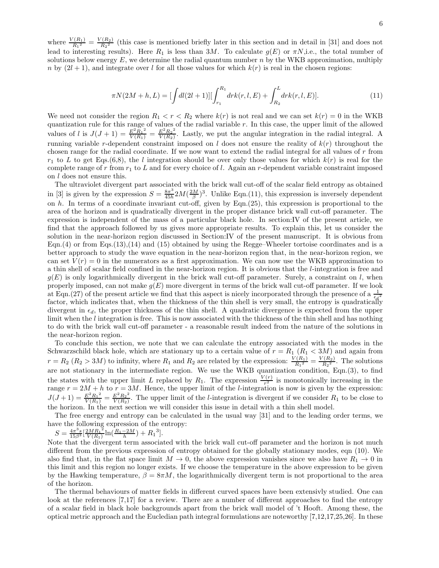where  $\frac{V(R_1)}{R_1^2} = \frac{V(R_2)}{R_2^2}$  $\frac{(R_2)}{R_2^2}$  (this case is mentioned briefly later in this section and in detail in [31] and does not lead to interesting results). Here  $R_1$  is less than 3M. To calculate  $g(E)$  or  $\pi N$ , i.e., the total number of solutions below energy  $E$ , we determine the radial quantum number  $n$  by the WKB approximation, multiply n by  $(2l + 1)$ , and integrate over l for all those values for which  $k(r)$  is real in the chosen regions:

$$
\pi N(2M+h,L) = \left[\int dl(2l+1)\right] \left[\int_{r_1}^{R_1} dr k(r,l,E) + \int_{R_2}^L dr k(r,l,E)\right].\tag{11}
$$

We need not consider the region  $R_1 < r < R_2$  where  $k(r)$  is not real and we can set  $k(r) = 0$  in the WKB quantization rule for this range of values of the radial variable  $r$ . In this case, the upper limit of the allowed values of l is  $J(J + 1) = \frac{E^2 R_1^2}{V(R_1)} = \frac{E^2 R_2^2}{V(R_2)}$  $\frac{E^2 R_2}{V(R_2)}$ . Lastly, we put the angular integration in the radial integral. A running variable r-dependent constraint imposed on  $l$  does not ensure the reality of  $k(r)$  throughout the chosen range for the radial coordinate. If we now want to extend the radial integral for all values of r from  $r_1$  to L to get Eqs.(6,8), the l integration should be over only those values for which  $k(r)$  is real for the complete range of r from  $r_1$  to L and for every choice of l. Again an r-dependent variable constraint imposed on l does not ensure this.

The ultraviolet divergent part associated with the brick wall cut-off of the scalar field entropy as obtained in [3] is given by the expression  $S = \frac{8\pi^3}{45h}$  $\frac{8\pi^3}{45h}$  2 $M(\frac{2M}{\beta})^3$ . Unlike Eqn.(11), this expression is inversely dependent on  $h$ . In terms of a coordinate invariant cut-off, given by Eqn.(25), this expression is proportional to the area of the horizon and is quadratically divergent in the proper distance brick wall cut-off parameter. The expression is independent of the mass of a particular black hole. In section:IV of the present article, we find that the approach followed by us gives more appropriate results. To explain this, let us consider the solution in the near-horizon region discussed in Section:IV of the present manuscript. It is obvious from Eqn.(4) or from Eqs.(13),(14) and (15) obtained by using the Regge–Wheeler tortoise coordinates and is a better approach to study the wave equation in the near-horizon region that, in the near-horizon region, we can set  $V(r) = 0$  in the numerators as a first approximation. We can now use the WKB approximation to a thin shell of scalar field confined in the near-horizon region. It is obvious that the l-integration is free and  $q(E)$  is only logarithmically divergent in the brick wall cut-off parameter. Surely, a constraint on l, when properly imposed, can not make  $g(E)$  more divergent in terms of the brick wall cut-off parameter. If we look at Eqn.(27) of the present article we find that this aspect is nicely incorporated through the presence of a  $\frac{1}{\epsilon_d^2}$ factor, which indicates that, when the thickness of the thin shell is very small, the entropy is quadratically divergent in  $\epsilon_d$ , the proper thickness of the thin shell. A quadratic divergence is expected from the upper limit when the  $l$  integration is free. This is now associated with the thickness of the thin shell and has nothing to do with the brick wall cut-off parameter - a reasonable result indeed from the nature of the solutions in the near-horizon region.

To conclude this section, we note that we can calculate the entropy associated with the modes in the Schwarzschild black hole, which are stationary up to a certain value of  $r = R_1 (R_1 < 3M)$  and again from  $r = R_2 (R_2 > 3M)$  to infinity, where  $R_1$  and  $R_2$  are related by the expression:  $\frac{V(R_1)}{R_1^2} = \frac{V(R_2)}{R_2^2}$  $\frac{(R_2)}{R_2^2}$ . The solutions are not stationary in the intermediate region. We use the WKB quantization condition, Eqn.(3), to find the states with the upper limit L replaced by  $R_1$ . The expression  $\frac{V(r)}{r^2}$  is monotonically increasing in the range  $r = 2M + h$  to  $r = 3M$ . Hence, the upper limit of the *l*-integration is now is given by the expression:  $J(J+1) = \frac{E^2 R_1^2}{V(R_1)} = \frac{E^2 R_2^2}{V(R_2)}$  $\frac{E^2 R_2}{V(R_2)}$ . The upper limit of the *l*-integration is divergent if we consider  $R_1$  to be close to the horizon. In the next section we will consider this issue in detail with a thin shell model.

The free energy and entropy can be calculated in the usual way [31] and to the leading order terms, we have the following expression of the entropy:

$$
S = \frac{4\pi^3 s}{15\beta^3} \left[ \frac{2MR_1^2}{V(R_1)} \ln\left(\frac{R_1 - 2M}{h}\right) + R_1^3 \right].
$$

Note that the divergent term associated with the brick wall cut-off parameter and the horizon is not much different from the previous expression of entropy obtained for the globally stationary modes, eqn (10). We also find that, in the flat space limit  $M \to 0$ , the above expression vanishes since we also have  $R_1 \to 0$  in this limit and this region no longer exists. If we choose the temperature in the above expression to be given by the Hawking temperature,  $\beta = 8\pi M$ , the logarithmically divergent term is not proportional to the area of the horizon.

The thermal behaviours of matter fields in different curved spaces have been extensivly studied. One can look at the references [7,17] for a review. There are a number of different approaches to find the entropy of a scalar field in black hole backgrounds apart from the brick wall model of 't Hooft. Among these, the optical metric approach and the Eucledian path integral formulations are noteworthy [7,12,17,25,26]. In these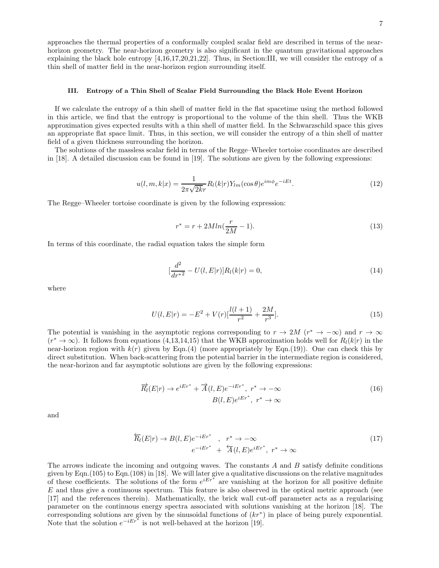approaches the thermal properties of a conformally coupled scalar field are described in terms of the nearhorizon geometry. The near-horizon geometry is also significant in the quantum gravitational approaches explaining the black hole entropy [4,16,17,20,21,22]. Thus, in Section:III, we will consider the entropy of a thin shell of matter field in the near-horizon region surrounding itself.

# III. Entropy of a Thin Shell of Scalar Field Surrounding the Black Hole Event Horizon

If we calculate the entropy of a thin shell of matter field in the flat spacetime using the method followed in this article, we find that the entropy is proportional to the volume of the thin shell. Thus the WKB approximation gives expected results with a thin shell of matter field. In the Schwarzschild space this gives an appropriate flat space limit. Thus, in this section, we will consider the entropy of a thin shell of matter field of a given thickness surrounding the horizon.

The solutions of the massless scalar field in terms of the Regge–Wheeler tortoise coordinates are described in [18]. A detailed discussion can be found in [19]. The solutions are given by the following expressions:

$$
u(l,m,k|x) = \frac{1}{2\pi\sqrt{2kr}} R_l(k|r) Y_{lm}(\cos\theta) e^{im\phi} e^{-iEt}.
$$
\n(12)

The Regge–Wheeler tortoise coordinate is given by the following expression:

$$
r^* = r + 2Mln(\frac{r}{2M} - 1).
$$
\n(13)

In terms of this coordinate, the radial equation takes the simple form

$$
[\frac{d^2}{dr^{*2}} - U(l, E|r)]R_l(k|r) = 0,
$$
\n(14)

where

$$
U(l, E|r) = -E^2 + V(r)[\frac{l(l+1)}{r^2} + \frac{2M}{r^3}].
$$
\n(15)

The potential is vanishing in the asymptotic regions corresponding to  $r \to 2M$  ( $r^* \to -\infty$ ) and  $r \to \infty$  $(r^* \to \infty)$ . It follows from equations (4,13,14,15) that the WKB approximation holds well for  $R_l(k|r)$  in the near-horizon region with  $k(r)$  given by Eqn.(4) (more appropriately by Eqn.(19)). One can check this by direct substitution. When back-scattering from the potential barrier in the intermediate region is considered, the near-horizon and far asymptotic solutions are given by the following expressions:

$$
\overrightarrow{R}_l(E|r) \to e^{iEr^*} + \overrightarrow{A}(l,E)e^{-iEr^*}, r^* \to -\infty
$$
  

$$
B(l,E)e^{iEr^*}, r^* \to \infty
$$
 (16)

and

$$
\overleftarrow{R}_l(E|r) \to B(l,E)e^{-iEr^*} \quad , \quad r^* \to -\infty
$$
  

$$
e^{-iEr^*} + \overleftarrow{A}(l,E)e^{iEr^*}, \quad r^* \to \infty
$$
\n
$$
(17)
$$

The arrows indicate the incoming and outgoing waves. The constants  $A$  and  $B$  satisfy definite conditions given by Eqn.(105) to Eqn.(108) in [18]. We will later give a qualitative discussions on the relative magnitudes of these coefficients. The solutions of the form  $e^{iE_r^*}$  are vanishing at the horizon for all positive definite  $E$  and thus give a continuous spectrum. This feature is also observed in the optical metric approach (see [17] and the references therein). Mathematically, the brick wall cut-off parameter acts as a regularising parameter on the continuous energy spectra associated with solutions vanishing at the horizon [18]. The corresponding solutions are given by the sinusoidal functions of  $(kr^*)$  in place of being purely exponential. Note that the solution  $e^{-iE_r^*}$  is not well-behaved at the horizon [19].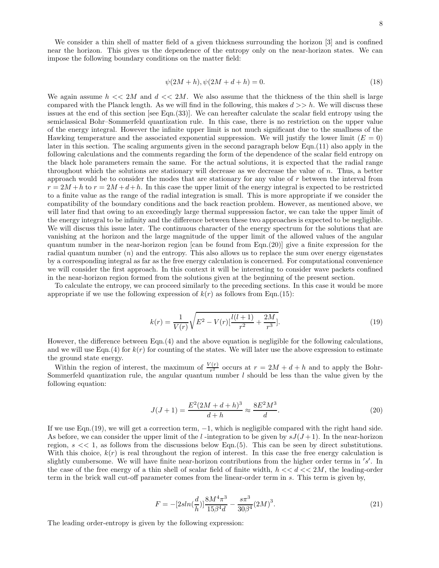We consider a thin shell of matter field of a given thickness surrounding the horizon [3] and is confined near the horizon. This gives us the dependence of the entropy only on the near-horizon states. We can impose the following boundary conditions on the matter field:

$$
\psi(2M+h), \psi(2M+d+h) = 0.
$$
\n(18)

We again assume  $h \ll 2M$  and  $d \ll 2M$ . We also assume that the thickness of the thin shell is large compared with the Planck length. As we will find in the following, this makes  $d \gg h$ . We will discuss these issues at the end of this section [see Eqn.(33)]. We can hereafter calculate the scalar field entropy using the semiclassical Bohr–Sommerfeld quantization rule. In this case, there is no restriction on the upper value of the energy integral. However the infinite upper limit is not much significant due to the smallness of the Hawking temperature and the associated exponential suppression. We will justify the lower limit  $(E = 0)$ later in this section. The scaling arguments given in the second paragraph below Eqn.(11) also apply in the following calculations and the comments regarding the form of the dependence of the scalar field entropy on the black hole parameters remain the same. For the actual solutions, it is expected that the radial range throughout which the solutions are stationary will decrease as we decrease the value of n. Thus, a better approach would be to consider the modes that are stationary for any value of  $r$  between the interval from  $r = 2M + h$  to  $r = 2M + d + h$ . In this case the upper limit of the energy integral is expected to be restricted to a finite value as the range of the radial integration is small. This is more appropriate if we consider the compatibility of the boundary conditions and the back reaction problem. However, as mentioned above, we will later find that owing to an exceedingly large thermal suppression factor, we can take the upper limit of the energy integral to be infinity and the difference between these two approaches is expected to be negligible. We will discuss this issue later. The continuous character of the energy spectrum for the solutions that are vanishing at the horizon and the large magnitude of the upper limit of the allowed values of the angular quantum number in the near-horizon region [can be found from Eqn.(20)] give a finite expression for the radial quantum number  $(n)$  and the entropy. This also allows us to replace the sum over energy eigenstates by a corresponding integral as far as the free energy calculation is concerned. For computational convenience we will consider the first approach. In this context it will be interesting to consider wave packets confined in the near-horizon region formed from the solutions given at the beginning of the present section.

To calculate the entropy, we can proceed similarly to the preceding sections. In this case it would be more appropriate if we use the following expression of  $k(r)$  as follows from Eqn.(15):

$$
k(r) = \frac{1}{V(r)} \sqrt{E^2 - V(r)[\frac{l(l+1)}{r^2} + \frac{2M}{r^3}]}.
$$
\n(19)

However, the difference between Eqn.(4) and the above equation is negligible for the following calculations, and we will use Eqn.(4) for  $k(r)$  for counting of the states. We will later use the above expression to estimate the ground state energy.

Within the region of interest, the maximum of  $\frac{V(r)}{r^2}$  occurs at  $r = 2M + d + h$  and to apply the Bohr-Sommerfeld quantization rule, the angular quantum number  $l$  should be less than the value given by the following equation:

$$
J(J+1) = \frac{E^2(2M + d + h)^3}{d + h} \approx \frac{8E^2M^3}{d}.
$$
\n(20)

If we use Eqn.(19), we will get a correction term,  $-1$ , which is negligible compared with the right hand side. As before, we can consider the upper limit of the l-integration to be given by  $sJ(J+1)$ . In the near-horizon region,  $s \ll 1$ , as follows from the discussions below Eqn.(5). This can be seen by direct substitutions. With this choice,  $k(r)$  is real throughout the region of interest. In this case the free energy calculation is slightly cumbersome. We will have finite near-horizon contributions from the higher order terms in 's'. In the case of the free energy of a thin shell of scalar field of finite width,  $h \ll d \ll 2M$ , the leading-order term in the brick wall cut-off parameter comes from the linear-order term in s. This term is given by,

$$
F = -[2\sin(\frac{d}{h})]\frac{8M^4\pi^3}{15\beta^4d} - \frac{s\pi^3}{30\beta^4}(2M)^3.
$$
\n(21)

The leading order-entropy is given by the following expression: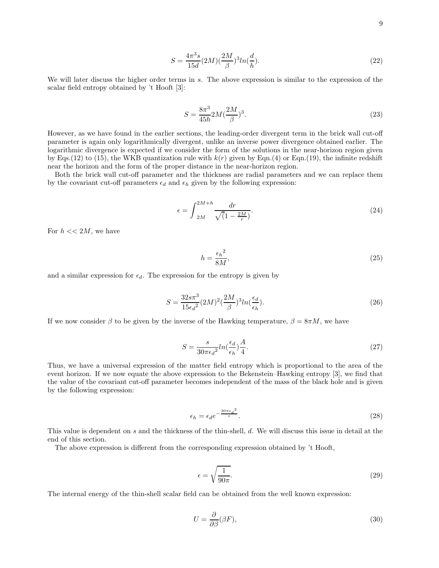$$
S = \frac{4\pi^3 s}{15d} (2M) (\frac{2M}{\beta})^3 ln(\frac{d}{h}).
$$
\n(22)

We will later discuss the higher order terms in s. The above expression is similar to the expression of the scalar field entropy obtained by 't Hooft [3]:

$$
S = \frac{8\pi^3}{45h} 2M(\frac{2M}{\beta})^3.
$$
 (23)

However, as we have found in the earlier sections, the leading-order divergent term in the brick wall cut-off parameter is again only logarithmically divergent, unlike an inverse power divergence obtained earlier. The logarithmic divergence is expected if we consider the form of the solutions in the near-horizon region given by Eqs.(12) to (15), the WKB quantization rule with  $k(r)$  given by Eqn.(4) or Eqn.(19), the infinite redshift near the horizon and the form of the proper distance in the near-horizon region.

Both the brick wall cut-off parameter and the thickness are radial parameters and we can replace them by the covariant cut-off parameters  $\epsilon_d$  and  $\epsilon_h$  given by the following expression:

$$
\epsilon = \int_{2M}^{2M+h} \frac{dr}{\sqrt{(1 - \frac{2M}{r})}}.\tag{24}
$$

For  $h \ll 2M$ , we have

$$
h = \frac{\epsilon_h^2}{8M},\tag{25}
$$

and a similar expression for  $\epsilon_d$ . The expression for the entropy is given by

$$
S = \frac{32s\pi^3}{15\epsilon_d^2} (2M)^2 \left(\frac{2M}{\beta}\right)^3 \ln\left(\frac{\epsilon_d}{\epsilon_h}\right). \tag{26}
$$

If we now consider  $\beta$  to be given by the inverse of the Hawking temperature,  $\beta = 8\pi M$ , we have

$$
S = \frac{s}{30\pi\epsilon_d^2} ln(\frac{\epsilon_d}{\epsilon_h})\frac{A}{4}.\tag{27}
$$

Thus, we have a universal expression of the matter field entropy which is proportional to the area of the event horizon. If we now equate the above expression to the Bekenstein–Hawking entropy [3], we find that the value of the covariant cut-off parameter becomes independent of the mass of the black hole and is given by the following expression:

$$
\epsilon_h = \epsilon_d e^{-\frac{30\pi\epsilon_d^2}{s}}.\tag{28}
$$

This value is dependent on s and the thickness of the thin-shell, d. We will discuss this issue in detail at the end of this section.

The above expression is different from the corresponding expression obtained by 't Hooft,

$$
\epsilon = \sqrt{\frac{1}{90\pi}}.\tag{29}
$$

The internal energy of the thin-shell scalar field can be obtained from the well known expression:

$$
U = \frac{\partial}{\partial \beta} (\beta F),\tag{30}
$$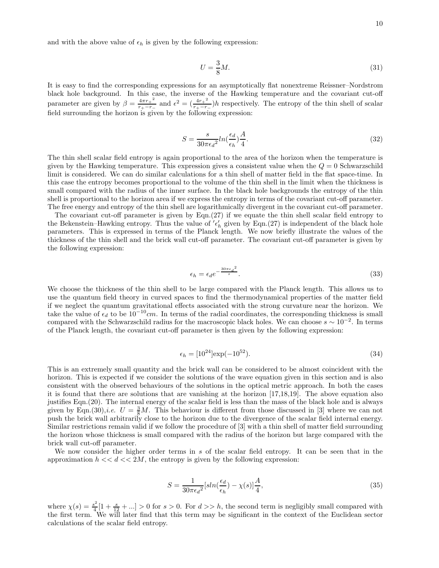and with the above value of  $\epsilon_h$  is given by the following expression:

$$
U = \frac{3}{8}M.\t(31)
$$

It is easy to find the corresponding expressions for an asymptotically flat nonextreme Reissner–Nordstrom black hole background. In this case, the inverse of the Hawking temperature and the covariant cut-off parameter are given by  $\beta = \frac{4\pi r^2}{r_1 - r_2}$  $\frac{4\pi r_{+}^{2}}{r_{+}-r_{-}}$  and  $\epsilon^{2} = (\frac{4r_{+}^{2}}{r_{+}-r_{-}})$  $\frac{4r_{+}}{r_{+}-r_{-}}$ )h respectively. The entropy of the thin shell of scalar field surrounding the horizon is given by the following expression:

$$
S = \frac{s}{30\pi\epsilon_d^2} ln(\frac{\epsilon_d}{\epsilon_h})\frac{A}{4}.\tag{32}
$$

The thin shell scalar field entropy is again proportional to the area of the horizon when the temperature is given by the Hawking temperature. This expression gives a consistent value when the  $Q = 0$  Schwarzschild limit is considered. We can do similar calculations for a thin shell of matter field in the flat space-time. In this case the entropy becomes proportional to the volume of the thin shell in the limit when the thickness is small compared with the radius of the inner surface. In the black hole backgrounds the entropy of the thin shell is proportional to the horizon area if we express the entropy in terms of the covariant cut-off parameter. The free energy and entropy of the thin shell are logarithmically divergent in the covariant cut-off parameter.

The covariant cut-off parameter is given by Eqn.(27) if we equate the thin shell scalar field entropy to the Bekenstein–Hawking entropy. Thus the value of  $\epsilon'_h$  given by Eqn.(27) is independent of the black hole parameters. This is expressed in terms of the Planck length. We now briefly illustrate the values of the thickness of the thin shell and the brick wall cut-off parameter. The covariant cut-off parameter is given by the following expression:

$$
\epsilon_h = \epsilon_d e^{-\frac{30\pi\epsilon_d^2}{s}}.\tag{33}
$$

We choose the thickness of the thin shell to be large compared with the Planck length. This allows us to use the quantum field theory in curved spaces to find the thermodynamical properties of the matter field if we neglect the quantum gravitational effects associated with the strong curvature near the horizon. We take the value of  $\epsilon_d$  to be  $10^{-10}cm$ . In terms of the radial coordinates, the corresponding thickness is small compared with the Schwarzschild radius for the macroscopic black holes. We can choose  $s \sim 10^{-2}$ . In terms of the Planck length, the covariant cut-off parameter is then given by the following expression:

$$
\epsilon_h = [10^{24}] \exp(-10^{52}). \tag{34}
$$

This is an extremely small quantity and the brick wall can be considered to be almost coincident with the horizon. This is expected if we consider the solutions of the wave equation given in this section and is also consistent with the observed behaviours of the solutions in the optical metric approach. In both the cases it is found that there are solutions that are vanishing at the horizon [17,18,19]. The above equation also justifies Eqn.(20). The internal energy of the scalar field is less than the mass of the black hole and is always given by Eqn.(30),*i.e.*  $U = \frac{3}{8}M$ . This behaviour is different from those discussed in [3] where we can not push the brick wall arbitrarily close to the horizon due to the divergence of the scalar field internal energy. Similar restrictions remain valid if we follow the procedure of [3] with a thin shell of matter field surrounding the horizon whose thickness is small compared with the radius of the horizon but large compared with the brick wall cut-off parameter.

We now consider the higher order terms in s of the scalar field entropy. It can be seen that in the approximation  $h \ll d \ll 2M$ , the entropy is given by the following expression:

$$
S = \frac{1}{30\pi\epsilon_d^2} [sin(\frac{\epsilon_d}{\epsilon_h}) - \chi(s)]\frac{A}{4},\tag{35}
$$

where  $\chi(s) = \frac{s^2}{4}$  $\frac{s^2}{4}[1+\frac{s}{12}+...]>0$  for  $s>0$ . For  $d>>h$ , the second term is negligibly small compared with the first term. We will later find that this term may be significant in the context of the Euclidean sector calculations of the scalar field entropy.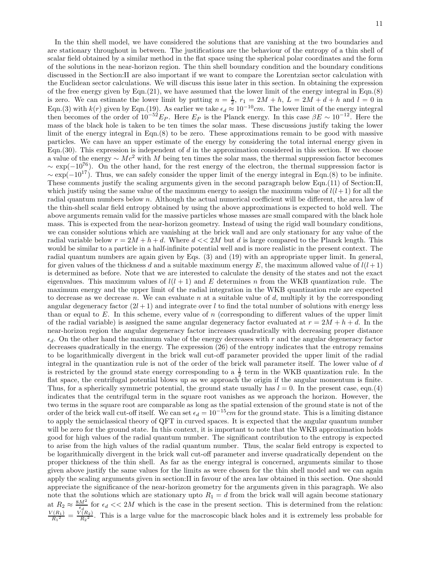In the thin shell model, we have considered the solutions that are vanishing at the two boundaries and are stationary throughout in between. The justifications are the behaviour of the entropy of a thin shell of scalar field obtained by a similar method in the flat space using the spherical polar coordinates and the form of the solutions in the near-horizon region. The thin shell boundary condition and the boundary conditions discussed in the Section:II are also important if we want to compare the Lorentzian sector calculation with the Euclidean sector calculations. We will discuss this issue later in this section. In obtaining the expression of the free energy given by Eqn.(21), we have assumed that the lower limit of the energy integral in Eqn.(8) is zero. We can estimate the lower limit by putting  $n = \frac{1}{2}$ ,  $r_1 = 2M + h$ ,  $L = 2M + d + h$  and  $l = 0$  in Eqn.(3) with  $k(r)$  given by Eqn.(19). As earlier we take  $\epsilon_d \approx 10^{-10}$ cm. The lower limit of the energy integral then becomes of the order of  $10^{-52}E_P$ . Here  $E_P$  is the Planck energy. In this case  $\beta E \sim 10^{-12}$ . Here the mass of the black hole is taken to be ten times the solar mass. These discussions justify taking the lower limit of the energy integral in Eqn.(8) to be zero. These approximations remain to be good with massive particles. We can have an upper estimate of the energy by considering the total internal energy given in Eqn.  $(30)$ . This expression is independent of d in the approximation considered in this section. If we choose a value of the energy  $~\sim Mc^2$  with M being ten times the solar mass, the thermal suppression factor becomes  $\sim \exp(-10^{76})$ . On the other hand, for the rest energy of the electron, the thermal suppression factor is  $\sim \exp(-10^{17})$ . Thus, we can safely consider the upper limit of the energy integral in Eqn.(8) to be infinite. These comments justify the scaling arguments given in the second paragraph below Eqn.(11) of Section:II, which justify using the same value of the maximum energy to assign the maximum value of  $l(l+1)$  for all the radial quantum numbers below n. Although the actual numerical coefficient will be different, the area law of the thin-shell scalar field entropy obtained by using the above approximations is expected to hold well. The above arguments remain valid for the massive particles whose masses are small compared with the black hole mass. This is expected from the near-horizon geometry. Instead of using the rigid wall boundary conditions, we can consider solutions which are vanishing at the brick wall and are only stationary for any value of the radial variable below  $r = 2M + h + d$ . Where  $d \ll 2M$  but d is large compared to the Planck length. This would be similar to a particle in a half-infinite potential well and is more realistic in the present context. The radial quantum numbers are again given by Eqs. (3) and (19) with an appropriate upper limit. In general, for given values of the thickness d and a suitable maximum energy E, the maximum allowed value of  $l(l+1)$ is determined as before. Note that we are interested to calculate the density of the states and not the exact eigenvalues. This maximum values of  $l(l + 1)$  and E determines n from the WKB quantization rule. The maximum energy and the upper limit of the radial integration in the WKB quantization rule are expected to decrease as we decrease n. We can evaluate n at a suitable value of  $d$ , multiply it by the corresponding angular degeneracy factor  $(2l + 1)$  and integrate over l to find the total number of solutions with energy less than or equal to  $E$ . In this scheme, every value of n (corresponding to different values of the upper limit of the radial variable) is assigned the same angular degeneracy factor evaluated at  $r = 2M + h + d$ . In the near-horizon region the angular degeneracy factor increases quadratically with decreasing proper distance  $\epsilon_d$ . On the other hand the maximum value of the energy decreases with r and the angular degeneracy factor decreases quadratically in the energy. The expression (26) of the entropy indicates that the entropy remains to be logarithmically divergent in the brick wall cut-off parameter provided the upper limit of the radial integral in the quantization rule is not of the order of the brick wall parameter itself. The lower value of d is restricted by the ground state energy corresponding to a  $\frac{1}{2}$  term in the WKB quantization rule. In the flat space, the centrifugal potential blows up as we approach the origin if the angular momentum is finite. Thus, for a spherically symmetric potential, the ground state usually has  $l = 0$ . In the present case, eqn.(4) indicates that the centrifugal term in the square root vanishes as we approach the horizon. However, the two terms in the square root are comparable as long as the spatial extension of the ground state is not of the order of the brick wall cut-off itself. We can set  $\epsilon_d = 10^{-15}$ cm for the ground state. This is a limiting distance to apply the semiclassical theory of QFT in curved spaces. It is expected that the angular quantum number will be zero for the ground state. In this context, it is important to note that the WKB approximation holds good for high values of the radial quantum number. The significant contribution to the entropy is expected to arise from the high values of the radial quantum number. Thus, the scalar field entropy is expected to be logarithmically divergent in the brick wall cut-off parameter and inverse quadratically dependent on the proper thickness of the thin shell. As far as the energy integral is concerned, arguments similar to those given above justify the same values for the limits as were chosen for the thin shell model and we can again apply the scaling arguments given in section:II in favour of the area law obtained in this section. One should appreciate the significance of the near-horizon geometry for the arguments given in this paragraph. We also note that the solutions which are stationary upto  $R_1 = d$  from the brick wall will again become stationary at  $R_2 \approx \frac{8M^2}{\epsilon_d}$  for  $\epsilon_d \ll 2M$  which is the case in the present section. This is determined from the relation:  $V(R_1)$  $\frac{V(R_1)}{R_1^2} = \frac{V(R_2)}{R_2^2}$  $\frac{(R_2)}{R_2^2}$ . This is a large value for the macroscopic black holes and it is extremely less probable for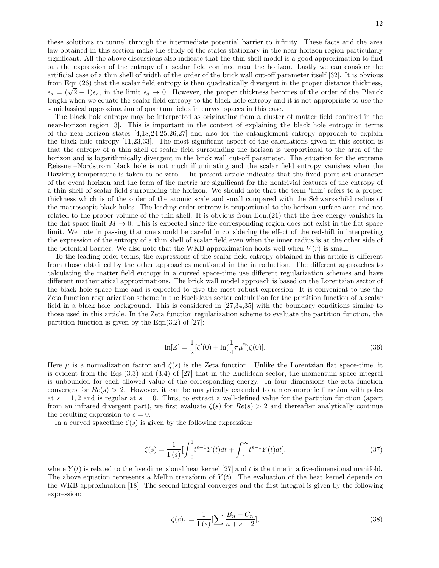these solutions to tunnel through the intermediate potential barrier to infinity. These facts and the area law obtained in this section make the study of the states stationary in the near-horizon region particularly significant. All the above discussions also indicate that the thin shell model is a good approximation to find out the expression of the entropy of a scalar field confined near the horizon. Lastly we can consider the artificial case of a thin shell of width of the order of the brick wall cut-off parameter itself [32]. It is obvious from Eqn.(26) that the scalar field entropy is then quadratically divergent in the proper distance thickness,  $\epsilon_d = (\sqrt{2}-1)\epsilon_h$ , in the limit  $\epsilon_d \to 0$ . However, the proper thickness becomes of the order of the Planck length when we equate the scalar field entropy to the black hole entropy and it is not appropriate to use the semiclassical approximation of quantum fields in curved spaces in this case.

The black hole entropy may be interpreted as originating from a cluster of matter field confined in the near-horizon region [3]. This is important in the context of explaining the black hole entropy in terms of the near-horizon states [4,18,24,25,26,27] and also for the entanglement entropy approach to explain the black hole entropy [11,23,33]. The most significant aspect of the calculations given in this section is that the entropy of a thin shell of scalar field surrounding the horizon is proportional to the area of the horizon and is logarithmically divergent in the brick wall cut-off parameter. The situation for the extreme Reissner–Nordstrom black hole is not much illuminating and the scalar field entropy vanishes when the Hawking temperature is taken to be zero. The present article indicates that the fixed point set character of the event horizon and the form of the metric are significant for the nontrivial features of the entropy of a thin shell of scalar field surrounding the horizon. We should note that the term 'thin' refers to a proper thickness which is of the order of the atomic scale and small compared with the Schwarzschild radius of the macroscopic black holes. The leading-order entropy is proportional to the horizon surface area and not related to the proper volume of the thin shell. It is obvious from Eqn.(21) that the free energy vanishes in the flat space limit  $M \to 0$ . This is expected since the corresponding region does not exist in the flat space limit. We note in passing that one should be careful in considering the effect of the redshift in interpreting the expression of the entropy of a thin shell of scalar field even when the inner radius is at the other side of the potential barrier. We also note that the WKB approximation holds well when  $V(r)$  is small.

To the leading-order terms, the expressions of the scalar field entropy obtained in this article is different from those obtained by the other approaches mentioned in the introduction. The different approaches to calculating the matter field entropy in a curved space-time use different regularization schemes and have different mathematical approximations. The brick wall model approach is based on the Lorentzian sector of the black hole space time and is expected to give the most robust expression. It is convenient to use the Zeta function regularization scheme in the Euclidean sector calculation for the partition function of a scalar field in a black hole background. This is considered in [27,34,35] with the boundary conditions similar to those used in this article. In the Zeta function regularization scheme to evaluate the partition function, the partition function is given by the  $Eqn(3.2)$  of  $[27]$ :

$$
\ln[Z] = \frac{1}{2} [\zeta'(0) + \ln(\frac{1}{4}\pi\mu^2)\zeta(0)].
$$
\n(36)

Here  $\mu$  is a normalization factor and  $\zeta(s)$  is the Zeta function. Unlike the Lorentzian flat space-time, it is evident from the Eqs.(3.3) and (3.4) of [27] that in the Euclidean sector, the momentum space integral is unbounded for each allowed value of the corresponding energy. In four dimensions the zeta function converges for  $Re(s) > 2$ . However, it can be analytically extended to a meromorphic function with poles at  $s = 1, 2$  and is regular at  $s = 0$ . Thus, to extract a well-defined value for the partition function (apart from an infrared divergent part), we first evaluate  $\zeta(s)$  for  $Re(s) > 2$  and thereafter analytically continue the resulting expression to  $s = 0$ .

In a curved spacetime  $\zeta(s)$  is given by the following expression:

$$
\zeta(s) = \frac{1}{\Gamma(s)} \left[ \int_0^1 t^{s-1} Y(t) dt + \int_1^\infty t^{s-1} Y(t) dt \right],\tag{37}
$$

where  $Y(t)$  is related to the five dimensional heat kernel [27] and t is the time in a five-dimensional manifold. The above equation represents a Mellin transform of  $Y(t)$ . The evaluation of the heat kernel depends on the WKB approximation [18]. The second integral converges and the first integral is given by the following expression:

$$
\zeta(s)_1 = \frac{1}{\Gamma(s)} \left[ \sum \frac{B_n + C_n}{n + s - 2} \right],\tag{38}
$$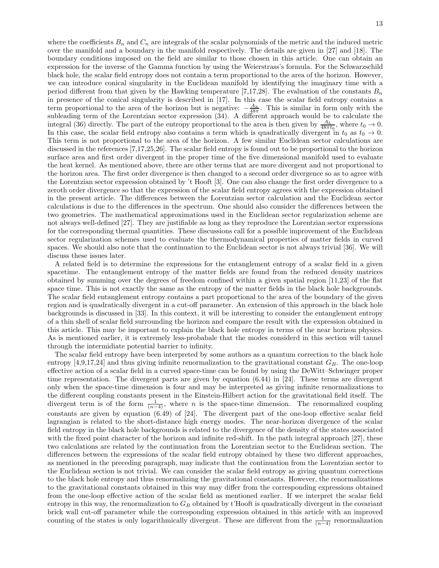where the coefficients  $B_n$  and  $C_n$  are integrals of the scalar polynomials of the metric and the induced metric over the manifold and a boundary in the manifold respectively. The details are given in [27] and [18]. The boundary conditions imposed on the field are similar to those chosen in this article. One can obtain an expression for the inverse of the Gamma function by using the Weierstrass's formula. For the Schwarzschild black hole, the scalar field entropy does not contain a term proportional to the area of the horizon. However, we can introduce conical singularity in the Euclidean manifold by identifying the imaginary time with a period different from that given by the Hawking temperature [7,17,28]. The evaluation of the constants  $B_n$ in presence of the conical singularity is described in [17]. In this case the scalar field entropy contains a term proportional to the area of the horizon but is negative:  $-\frac{A_h}{48\pi}$ . This is similar in form only with the subleading term of the Lorentzian sector expression (34). A different approach would be to calculate the integral (36) directly. The part of the entropy proportional to the area is then given by  $\frac{A_h}{48\pi t_0}$ , where  $t_0 \to 0$ . In this case, the scalar field entropy also contains a term which is quadratically divergent in  $t_0$  as  $t_0 \to 0$ . This term is not proportional to the area of the horizon. A few similar Euclidean sector calculations are discussed in the references [7,17,25,26]. The scalar field entropy is found out to be proportional to the horizon surface area and first order divergent in the proper time of the five dimensional manifold used to evaluate the heat kernel. As mentioned above, there are other terms that are more divergent and not proportional to the horizon area. The first order divergence is then changed to a second order divergence so as to agree with the Lorentzian sector expression obtained by 't Hooft [3]. One can also change the first order divergence to a zeroth order divergence so that the expression of the scalar field entropy agrees with the expression obtained in the present article. The differences between the Lorentzian sector calculation and the Euclidean sector calculations is due to the differences in the spectrum. One should also consider the differences between the two geometries. The mathematical approximations used in the Euclidean sector regularization scheme are not always well-defined [27]. They are justifiable as long as they reproduce the Lorentzian sector expressions for the corresponding thermal quantities. These discussions call for a possible improvement of the Euclidean sector regularization schemes used to evaluate the thermodynamical properties of matter fields in curved spaces. We should also note that the continuation to the Euclidean sector is not always trivial [36]. We will discuss these issues later.

A related field is to determine the expressions for the entanglement entropy of a scalar field in a given spacetime. The entanglement entropy of the matter fields are found from the reduced density matrices obtained by summing over the degrees of freedom confined within a given spatial region [11,23] of the flat space time. This is not exactly the same as the entropy of the matter fields in the black hole backgrounds. The scalar field entanglement entropy contains a part proportional to the area of the boundary of the given region and is quadratically divergent in a cut-off parameter. An extension of this approach in the black hole backgrounds is discussed in [33]. In this context, it will be interesting to consider the entanglement entropy of a thin shell of scalar field surrounding the horizon and compare the result with the expression obtained in this article. This may be important to explain the black hole entropy in terms of the near horizon physics. As is mentioned earlier, it is extremely less-probabale that the modes considerd in this section will tannel through the intermidiate potential barrier to infinity.

The scalar field entropy have been interpreted by some authors as a quantum correction to the black hole entropy [4,9,17,24] and thus giving infinite renormalization to the gravitational constant  $G_B$ . The one-loop effective action of a scalar field in a curved space-time can be found by using the DeWitt–Schwinger proper time representation. The divergent parts are given by equation (6.44) in [24]. These terms are divergent only when the space-time dimension is four and may be interpreted as giving infinite renormalizations to the different coupling constants present in the Einstein-Hilbert action for the gravitational field itself. The divergent term is of the form  $\frac{1}{(n-4)}$ , where n is the space-time dimension. The renormalized coupling constants are given by equation (6.49) of [24]. The divergent part of the one-loop effective scalar field lagrangian is related to the short-distance high energy modes. The near-horizon divergence of the scalar field entropy in the black hole backgrounds is related to the divergence of the density of the states associated with the fixed point character of the horizon and infinite red-shift. In the path integral approach [27], these two calculations are related by the continuation from the Lorentzian sector to the Euclidean section. The differences between the expressions of the scalar field entropy obtained by these two different approaches, as mentioned in the preceding paragraph, may indicate that the continuation from the Lorentzian sector to the Euclidean section is not trivial. We can consider the scalar field entropy as giving quantum corrections to the black hole entropy and thus renormalizing the gravitational constants. However, the renormalizations to the gravitational constants obtained in this way may differ from the corresponding expressions obtained from the one-loop effective action of the scalar field as mentioned earlier. If we interpret the scalar field entropy in this way, the renormalization to  $G_B$  obtained by t'Hooft is quadratically divergent in the covariant brick wall cut-off parameter while the corresponding expression obtained in this article with an improved counting of the states is only logarithmically divergent. These are different from the  $\frac{1}{(n-4)}$  renormalization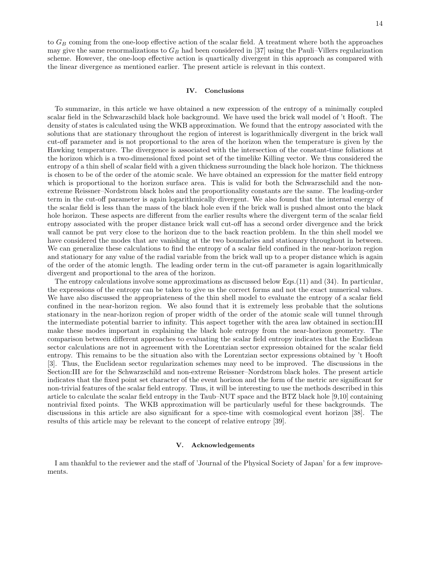to  $G_B$  coming from the one-loop effective action of the scalar field. A treatment where both the approaches may give the same renormalizations to  $G_B$  had been considered in [37] using the Pauli–Villers regularization scheme. However, the one-loop effective action is quartically divergent in this approach as compared with the linear divergence as mentioned earlier. The present article is relevant in this context.

# IV. Conclusions

To summarize, in this article we have obtained a new expression of the entropy of a minimally coupled scalar field in the Schwarzschild black hole background. We have used the brick wall model of 't Hooft. The density of states is calculated using the WKB approximation. We found that the entropy associated with the solutions that are stationary throughout the region of interest is logarithmically divergent in the brick wall cut-off parameter and is not proportional to the area of the horizon when the temperature is given by the Hawking temperature. The divergence is associated with the intersection of the constant-time foliations at the horizon which is a two-dimensional fixed point set of the timelike Killing vector. We thus considered the entropy of a thin shell of scalar field with a given thickness surrounding the black hole horizon. The thickness is chosen to be of the order of the atomic scale. We have obtained an expression for the matter field entropy which is proportional to the horizon surface area. This is valid for both the Schwarzschild and the nonextreme Reissner–Nordstrom black holes and the proportionality constants are the same. The leading-order term in the cut-off parameter is again logarithmically divergent. We also found that the internal energy of the scalar field is less than the mass of the black hole even if the brick wall is pushed almost onto the black hole horizon. These aspects are different from the earlier results where the divergent term of the scalar field entropy associated with the proper distance brick wall cut-off has a second order divergence and the brick wall cannot be put very close to the horizon due to the back reaction problem. In the thin shell model we have considered the modes that are vanishing at the two boundaries and stationary throughout in between. We can generalize these calculations to find the entropy of a scalar field confined in the near-horizon region and stationary for any value of the radial variable from the brick wall up to a proper distance which is again of the order of the atomic length. The leading order term in the cut-off parameter is again logarithmically divergent and proportional to the area of the horizon.

The entropy calculations involve some approximations as discussed below Eqs.(11) and (34). In particular, the expressions of the entropy can be taken to give us the correct forms and not the exact numerical values. We have also discussed the appropriateness of the thin shell model to evaluate the entropy of a scalar field confined in the near-horizon region. We also found that it is extremely less probable that the solutions stationary in the near-horizon region of proper width of the order of the atomic scale will tunnel through the intermediate potential barrier to infinity. This aspect together with the area law obtained in section:III make these modes important in explaining the black hole entropy from the near-horizon geometry. The comparison between different approaches to evaluating the scalar field entropy indicates that the Euclidean sector calculations are not in agreement with the Lorentzian sector expression obtained for the scalar field entropy. This remains to be the situation also with the Lorentzian sector expressions obtained by 't Hooft [3]. Thus, the Euclidean sector regularization schemes may need to be improved. The discussions in the Section:III are for the Schwarzschild and non-extreme Reissner–Nordstrom black holes. The present article indicates that the fixed point set character of the event horizon and the form of the metric are significant for non-trivial features of the scalar field entropy. Thus, it will be interesting to use the methods described in this article to calculate the scalar field entropy in the Taub–NUT space and the BTZ black hole [9,10] containing nontrivial fixed points. The WKB approximation will be particularly useful for these backgrounds. The discussions in this article are also significant for a spce-time with cosmological event horizon [38]. The results of this article may be relevant to the concept of relative entropy [39].

# V. Acknowledgements

I am thankful to the reviewer and the staff of 'Journal of the Physical Society of Japan' for a few improvements.